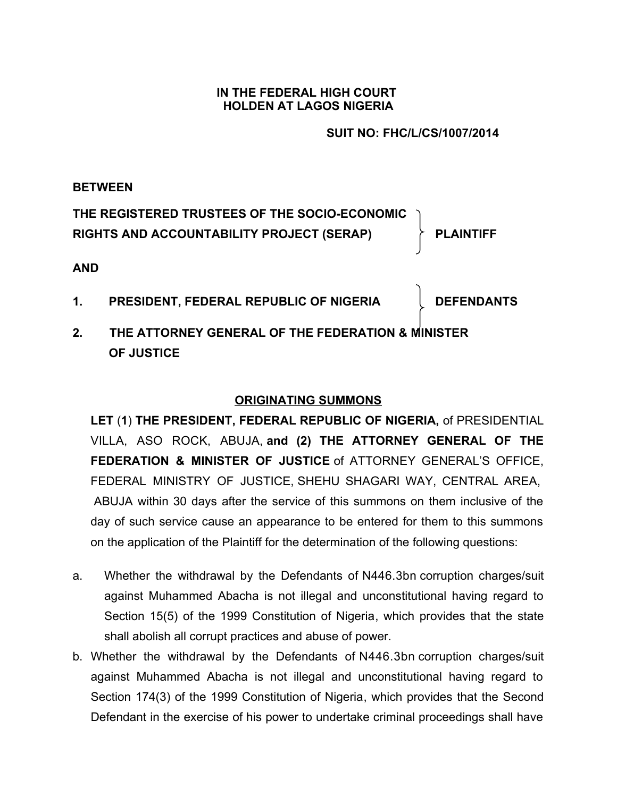### **IN THE FEDERAL HIGH COURT HOLDEN AT LAGOS NIGERIA**

### **SUIT NO: FHC/L/CS/1007/2014**

### **BETWEEN**

**THE REGISTERED TRUSTEES OF THE SOCIO-ECONOMIC RIGHTS AND ACCOUNTABILITY PROJECT (SERAP) PLAINTIFF**

### **AND**

1. **PRESIDENT, FEDERAL REPUBLIC OF NIGERIA DEFENDANTS** 

**2. THE ATTORNEY GENERAL OF THE FEDERATION & MINISTER OF JUSTICE**

## **ORIGINATING SUMMONS**

**LET** (**1**) **THE PRESIDENT, FEDERAL REPUBLIC OF NIGERIA,** of PRESIDENTIAL VILLA, ASO ROCK, ABUJA, **and (2) THE ATTORNEY GENERAL OF THE FEDERATION & MINISTER OF JUSTICE** of ATTORNEY GENERAL'S OFFICE, FEDERAL MINISTRY OF JUSTICE, SHEHU SHAGARI WAY, CENTRAL AREA, ABUJA within 30 days after the service of this summons on them inclusive of the day of such service cause an appearance to be entered for them to this summons on the application of the Plaintiff for the determination of the following questions:

- a. Whether the withdrawal by the Defendants of N446.3bn corruption charges/suit against Muhammed Abacha is not illegal and unconstitutional having regard to Section 15(5) of the 1999 Constitution of Nigeria, which provides that the state shall abolish all corrupt practices and abuse of power.
- b. Whether the withdrawal by the Defendants of N446.3bn corruption charges/suit against Muhammed Abacha is not illegal and unconstitutional having regard to Section 174(3) of the 1999 Constitution of Nigeria, which provides that the Second Defendant in the exercise of his power to undertake criminal proceedings shall have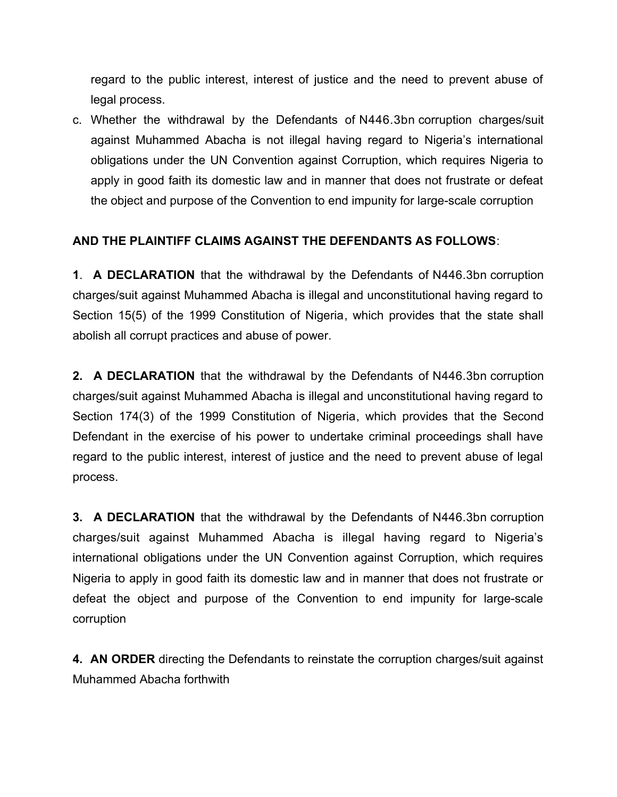regard to the public interest, interest of justice and the need to prevent abuse of legal process.

c. Whether the withdrawal by the Defendants of N446.3bn corruption charges/suit against Muhammed Abacha is not illegal having regard to Nigeria's international obligations under the UN Convention against Corruption, which requires Nigeria to apply in good faith its domestic law and in manner that does not frustrate or defeat the object and purpose of the Convention to end impunity for large-scale corruption

## **AND THE PLAINTIFF CLAIMS AGAINST THE DEFENDANTS AS FOLLOWS**:

**1**. **A DECLARATION** that the withdrawal by the Defendants of N446.3bn corruption charges/suit against Muhammed Abacha is illegal and unconstitutional having regard to Section 15(5) of the 1999 Constitution of Nigeria, which provides that the state shall abolish all corrupt practices and abuse of power.

**2. A DECLARATION** that the withdrawal by the Defendants of N446.3bn corruption charges/suit against Muhammed Abacha is illegal and unconstitutional having regard to Section 174(3) of the 1999 Constitution of Nigeria, which provides that the Second Defendant in the exercise of his power to undertake criminal proceedings shall have regard to the public interest, interest of justice and the need to prevent abuse of legal process.

**3. A DECLARATION** that the withdrawal by the Defendants of N446.3bn corruption charges/suit against Muhammed Abacha is illegal having regard to Nigeria's international obligations under the UN Convention against Corruption, which requires Nigeria to apply in good faith its domestic law and in manner that does not frustrate or defeat the object and purpose of the Convention to end impunity for large-scale corruption

**4. AN ORDER** directing the Defendants to reinstate the corruption charges/suit against Muhammed Abacha forthwith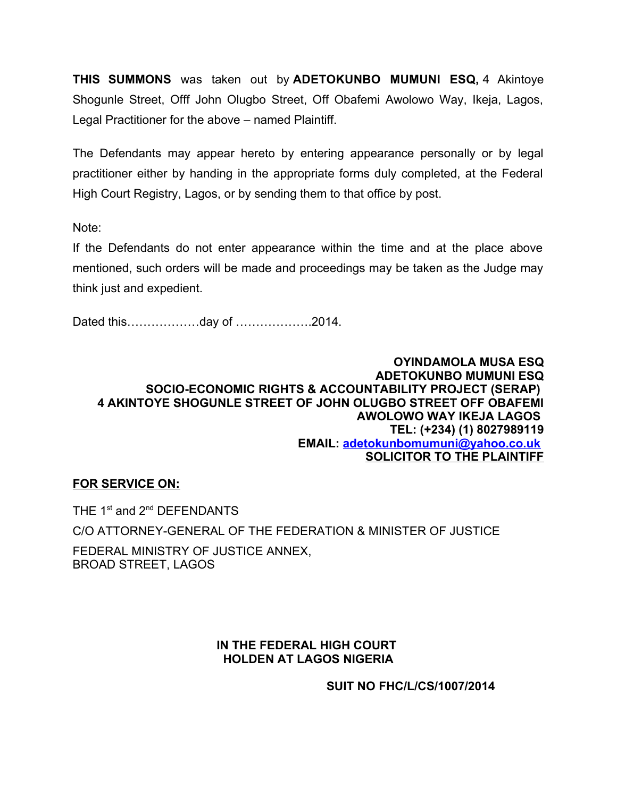**THIS SUMMONS** was taken out by **ADETOKUNBO MUMUNI ESQ,** 4 Akintoye Shogunle Street, Offf John Olugbo Street, Off Obafemi Awolowo Way, Ikeja, Lagos, Legal Practitioner for the above – named Plaintiff.

The Defendants may appear hereto by entering appearance personally or by legal practitioner either by handing in the appropriate forms duly completed, at the Federal High Court Registry, Lagos, or by sending them to that office by post.

Note:

If the Defendants do not enter appearance within the time and at the place above mentioned, such orders will be made and proceedings may be taken as the Judge may think just and expedient.

Dated this………………day of ……………….2014.

#### **OYINDAMOLA MUSA ESQ ADETOKUNBO MUMUNI ESQ SOCIO-ECONOMIC RIGHTS & ACCOUNTABILITY PROJECT (SERAP) 4 AKINTOYE SHOGUNLE STREET OF JOHN OLUGBO STREET OFF OBAFEMI AWOLOWO WAY IKEJA LAGOS TEL: (+234) (1) 8027989119 EMAIL: [adetokunbomumuni@yahoo.co.uk](mailto:adetokunbomumuni@yahoo.co.uk) SOLICITOR TO THE PLAINTIFF**

## **FOR SERVICE ON:**

THE 1<sup>st</sup> and 2<sup>nd</sup> DEFENDANTS

C/O ATTORNEY-GENERAL OF THE FEDERATION & MINISTER OF JUSTICE

FEDERAL MINISTRY OF JUSTICE ANNEX, BROAD STREET, LAGOS

### **IN THE FEDERAL HIGH COURT HOLDEN AT LAGOS NIGERIA**

**SUIT NO FHC/L/CS/1007/2014**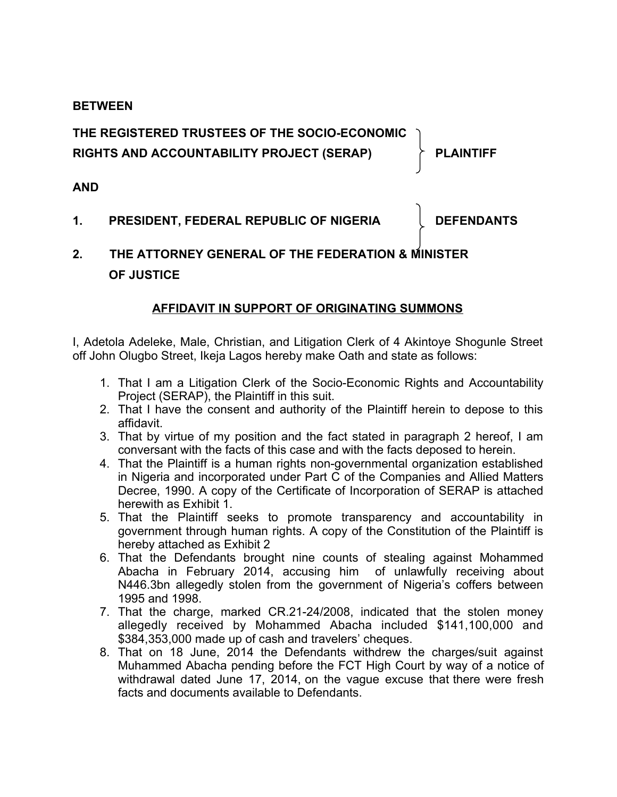### **BETWEEN**

# **THE REGISTERED TRUSTEES OF THE SOCIO-ECONOMIC RIGHTS AND ACCOUNTABILITY PROJECT (SERAP) PLAINTIFF**

## **AND**

1. **PRESIDENT, FEDERAL REPUBLIC OF NIGERIA DEFENDANTS** 

# **2. THE ATTORNEY GENERAL OF THE FEDERATION & MINISTER OF JUSTICE**

## **AFFIDAVIT IN SUPPORT OF ORIGINATING SUMMONS**

I, Adetola Adeleke, Male, Christian, and Litigation Clerk of 4 Akintoye Shogunle Street off John Olugbo Street, Ikeja Lagos hereby make Oath and state as follows:

- 1. That I am a Litigation Clerk of the Socio-Economic Rights and Accountability Project (SERAP), the Plaintiff in this suit.
- 2. That I have the consent and authority of the Plaintiff herein to depose to this affidavit.
- 3. That by virtue of my position and the fact stated in paragraph 2 hereof, I am conversant with the facts of this case and with the facts deposed to herein.
- 4. That the Plaintiff is a human rights non-governmental organization established in Nigeria and incorporated under Part C of the Companies and Allied Matters Decree, 1990. A copy of the Certificate of Incorporation of SERAP is attached herewith as Exhibit 1.
- 5. That the Plaintiff seeks to promote transparency and accountability in government through human rights. A copy of the Constitution of the Plaintiff is hereby attached as Exhibit 2
- 6. That the Defendants brought nine counts of stealing against Mohammed Abacha in February 2014, accusing him of unlawfully receiving about N446.3bn allegedly stolen from the government of Nigeria's coffers between 1995 and 1998.
- 7. That the charge, marked CR.21-24/2008, indicated that the stolen money allegedly received by Mohammed Abacha included \$141,100,000 and \$384,353,000 made up of cash and travelers' cheques.
- 8. That on 18 June, 2014 the Defendants withdrew the charges/suit against Muhammed Abacha pending before the FCT High Court by way of a notice of withdrawal dated June 17, 2014, on the vague excuse that there were fresh facts and documents available to Defendants.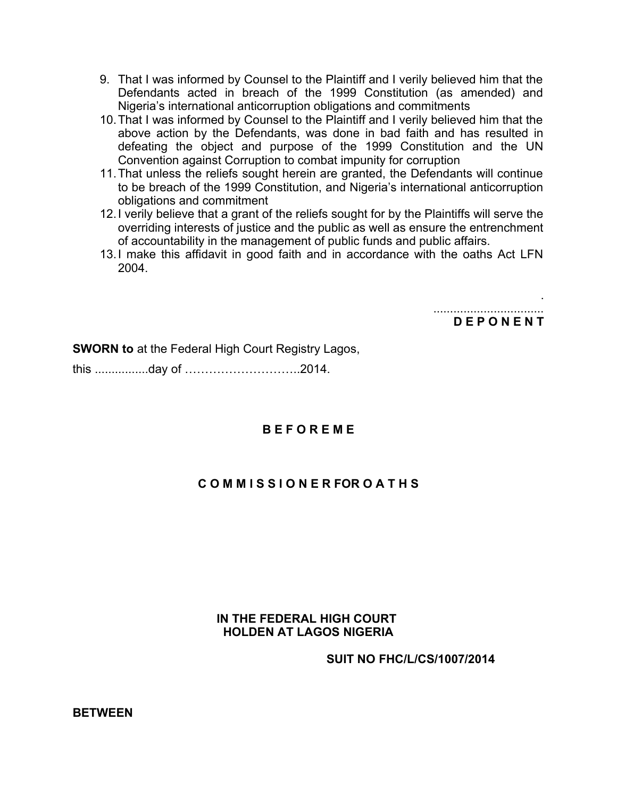- 9. That I was informed by Counsel to the Plaintiff and I verily believed him that the Defendants acted in breach of the 1999 Constitution (as amended) and Nigeria's international anticorruption obligations and commitments
- 10.That I was informed by Counsel to the Plaintiff and I verily believed him that the above action by the Defendants, was done in bad faith and has resulted in defeating the object and purpose of the 1999 Constitution and the UN Convention against Corruption to combat impunity for corruption
- 11.That unless the reliefs sought herein are granted, the Defendants will continue to be breach of the 1999 Constitution, and Nigeria's international anticorruption obligations and commitment
- 12.I verily believe that a grant of the reliefs sought for by the Plaintiffs will serve the overriding interests of justice and the public as well as ensure the entrenchment of accountability in the management of public funds and public affairs.
- 13.I make this affidavit in good faith and in accordance with the oaths Act LFN 2004.

................................. **D E P O N E N T**

.

**SWORN to** at the Federal High Court Registry Lagos,

this ................day of ………………………..2014.

### **B E F O R E M E**

### **C O M M I S S I O N E R FOR O A T H S**

### **IN THE FEDERAL HIGH COURT HOLDEN AT LAGOS NIGERIA**

**SUIT NO FHC/L/CS/1007/2014**

**BETWEEN**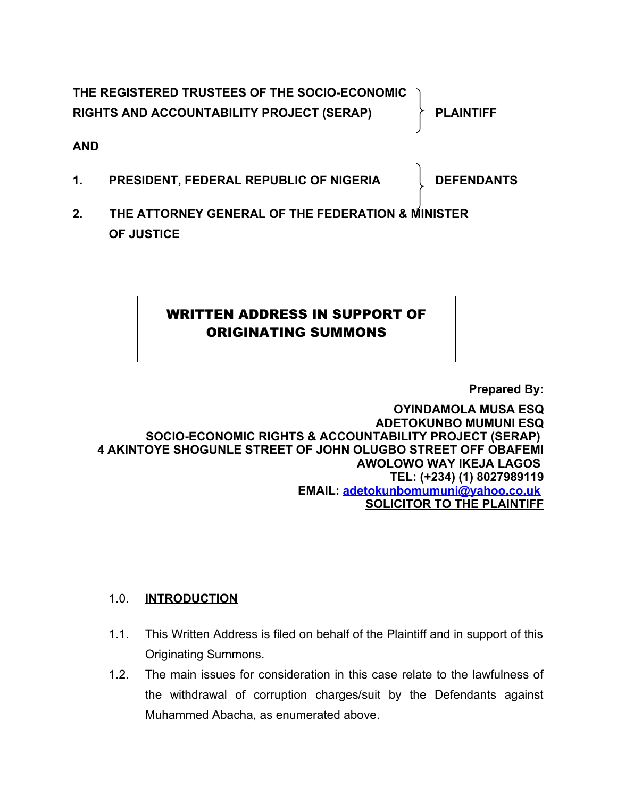**THE REGISTERED TRUSTEES OF THE SOCIO-ECONOMIC RIGHTS AND ACCOUNTABILITY PROJECT (SERAP) PLAINTIFF**

**AND**

1. **PRESIDENT, FEDERAL REPUBLIC OF NIGERIA DEFENDANTS** 

**2. THE ATTORNEY GENERAL OF THE FEDERATION & MINISTER OF JUSTICE**

# WRITTEN ADDRESS IN SUPPORT OF ORIGINATING SUMMONS

**Prepared By:**

**OYINDAMOLA MUSA ESQ ADETOKUNBO MUMUNI ESQ SOCIO-ECONOMIC RIGHTS & ACCOUNTABILITY PROJECT (SERAP) 4 AKINTOYE SHOGUNLE STREET OF JOHN OLUGBO STREET OFF OBAFEMI AWOLOWO WAY IKEJA LAGOS TEL: (+234) (1) 8027989119 EMAIL: [adetokunbomumuni@yahoo.co.uk](mailto:adetokunbomumuni@yahoo.co.uk) SOLICITOR TO THE PLAINTIFF**

# 1.0. **INTRODUCTION**

- 1.1. This Written Address is filed on behalf of the Plaintiff and in support of this Originating Summons.
- 1.2. The main issues for consideration in this case relate to the lawfulness of the withdrawal of corruption charges/suit by the Defendants against Muhammed Abacha, as enumerated above.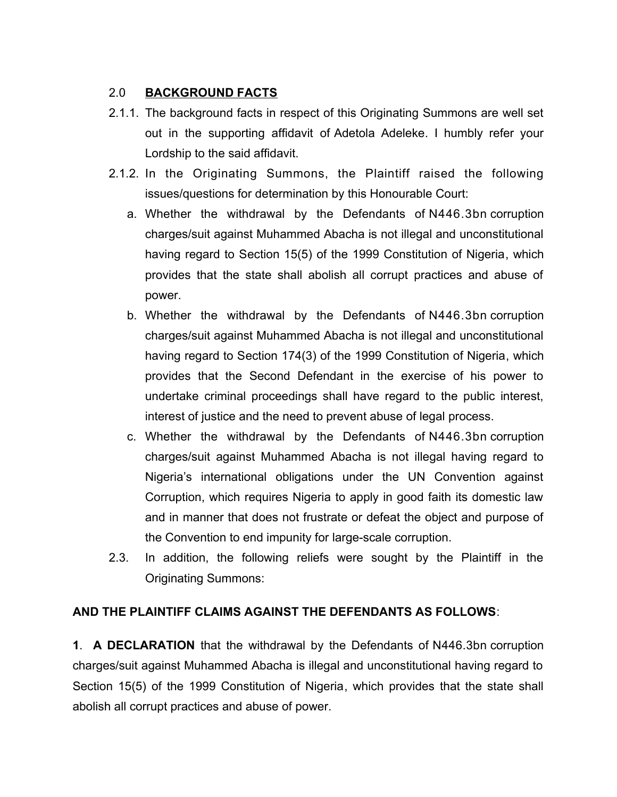## 2.0 **BACKGROUND FACTS**

- 2.1.1. The background facts in respect of this Originating Summons are well set out in the supporting affidavit of Adetola Adeleke. I humbly refer your Lordship to the said affidavit.
- 2.1.2. In the Originating Summons, the Plaintiff raised the following issues/questions for determination by this Honourable Court:
	- a. Whether the withdrawal by the Defendants of N446.3bn corruption charges/suit against Muhammed Abacha is not illegal and unconstitutional having regard to Section 15(5) of the 1999 Constitution of Nigeria, which provides that the state shall abolish all corrupt practices and abuse of power.
	- b. Whether the withdrawal by the Defendants of N446.3bn corruption charges/suit against Muhammed Abacha is not illegal and unconstitutional having regard to Section 174(3) of the 1999 Constitution of Nigeria, which provides that the Second Defendant in the exercise of his power to undertake criminal proceedings shall have regard to the public interest, interest of justice and the need to prevent abuse of legal process.
	- c. Whether the withdrawal by the Defendants of N446.3bn corruption charges/suit against Muhammed Abacha is not illegal having regard to Nigeria's international obligations under the UN Convention against Corruption, which requires Nigeria to apply in good faith its domestic law and in manner that does not frustrate or defeat the object and purpose of the Convention to end impunity for large-scale corruption.
- 2.3. In addition, the following reliefs were sought by the Plaintiff in the Originating Summons:

# **AND THE PLAINTIFF CLAIMS AGAINST THE DEFENDANTS AS FOLLOWS**:

**1**. **A DECLARATION** that the withdrawal by the Defendants of N446.3bn corruption charges/suit against Muhammed Abacha is illegal and unconstitutional having regard to Section 15(5) of the 1999 Constitution of Nigeria, which provides that the state shall abolish all corrupt practices and abuse of power.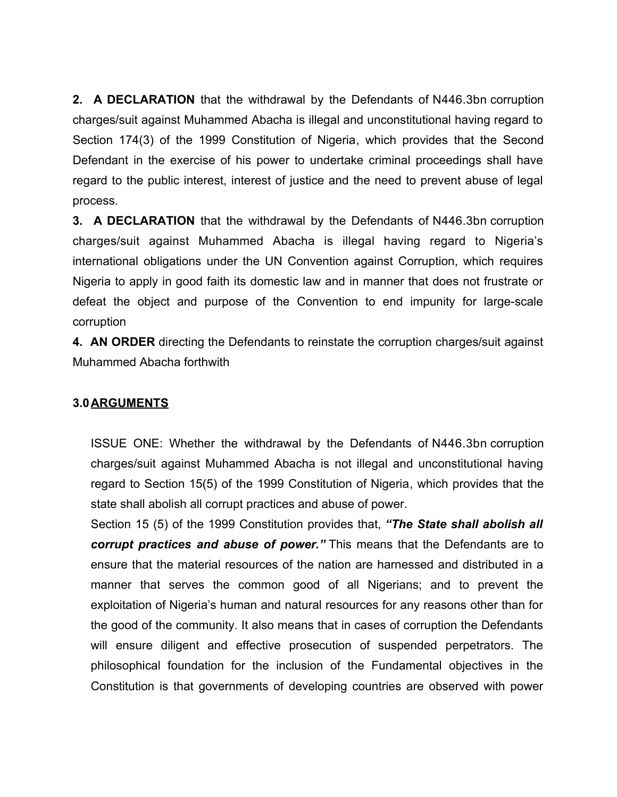**2. A DECLARATION** that the withdrawal by the Defendants of N446.3bn corruption charges/suit against Muhammed Abacha is illegal and unconstitutional having regard to Section 174(3) of the 1999 Constitution of Nigeria, which provides that the Second Defendant in the exercise of his power to undertake criminal proceedings shall have regard to the public interest, interest of justice and the need to prevent abuse of legal process.

**3. A DECLARATION** that the withdrawal by the Defendants of N446.3bn corruption charges/suit against Muhammed Abacha is illegal having regard to Nigeria's international obligations under the UN Convention against Corruption, which requires Nigeria to apply in good faith its domestic law and in manner that does not frustrate or defeat the object and purpose of the Convention to end impunity for large-scale corruption

**4. AN ORDER** directing the Defendants to reinstate the corruption charges/suit against Muhammed Abacha forthwith

## **3.0ARGUMENTS**

ISSUE ONE: Whether the withdrawal by the Defendants of N446.3bn corruption charges/suit against Muhammed Abacha is not illegal and unconstitutional having regard to Section 15(5) of the 1999 Constitution of Nigeria, which provides that the state shall abolish all corrupt practices and abuse of power.

Section 15 (5) of the 1999 Constitution provides that, *"The State shall abolish all corrupt practices and abuse of power."* This means that the Defendants are to ensure that the material resources of the nation are harnessed and distributed in a manner that serves the common good of all Nigerians; and to prevent the exploitation of Nigeria's human and natural resources for any reasons other than for the good of the community. It also means that in cases of corruption the Defendants will ensure diligent and effective prosecution of suspended perpetrators. The philosophical foundation for the inclusion of the Fundamental objectives in the Constitution is that governments of developing countries are observed with power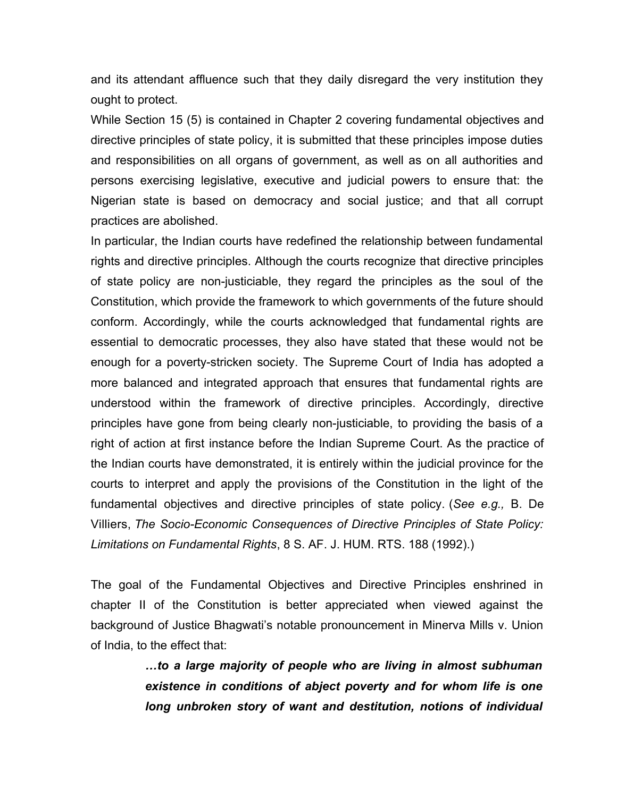and its attendant affluence such that they daily disregard the very institution they ought to protect.

While Section 15 (5) is contained in Chapter 2 covering fundamental objectives and directive principles of state policy, it is submitted that these principles impose duties and responsibilities on all organs of government, as well as on all authorities and persons exercising legislative, executive and judicial powers to ensure that: the Nigerian state is based on democracy and social justice; and that all corrupt practices are abolished.

In particular, the Indian courts have redefined the relationship between fundamental rights and directive principles. Although the courts recognize that directive principles of state policy are non-justiciable, they regard the principles as the soul of the Constitution, which provide the framework to which governments of the future should conform. Accordingly, while the courts acknowledged that fundamental rights are essential to democratic processes, they also have stated that these would not be enough for a poverty-stricken society. The Supreme Court of India has adopted a more balanced and integrated approach that ensures that fundamental rights are understood within the framework of directive principles. Accordingly, directive principles have gone from being clearly non-justiciable, to providing the basis of a right of action at first instance before the Indian Supreme Court. As the practice of the Indian courts have demonstrated, it is entirely within the judicial province for the courts to interpret and apply the provisions of the Constitution in the light of the fundamental objectives and directive principles of state policy. (*See e.g.,* B. De Villiers, *The Socio-Economic Consequences of Directive Principles of State Policy: Limitations on Fundamental Rights*, 8 S. AF. J. HUM. RTS. 188 (1992).)

The goal of the Fundamental Objectives and Directive Principles enshrined in chapter II of the Constitution is better appreciated when viewed against the background of Justice Bhagwati's notable pronouncement in Minerva Mills v. Union of India, to the effect that:

> *…to a large majority of people who are living in almost subhuman existence in conditions of abject poverty and for whom life is one long unbroken story of want and destitution, notions of individual*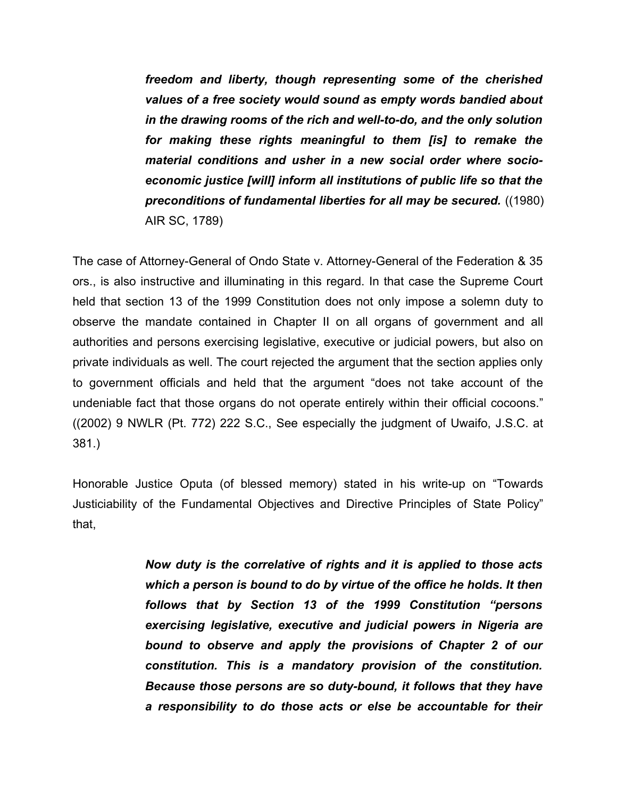*freedom and liberty, though representing some of the cherished values of a free society would sound as empty words bandied about in the drawing rooms of the rich and well-to-do, and the only solution for making these rights meaningful to them [is] to remake the material conditions and usher in a new social order where socioeconomic justice [will] inform all institutions of public life so that the preconditions of fundamental liberties for all may be secured.* ((1980) AIR SC, 1789)

The case of Attorney-General of Ondo State v. Attorney-General of the Federation & 35 ors., is also instructive and illuminating in this regard. In that case the Supreme Court held that section 13 of the 1999 Constitution does not only impose a solemn duty to observe the mandate contained in Chapter II on all organs of government and all authorities and persons exercising legislative, executive or judicial powers, but also on private individuals as well. The court rejected the argument that the section applies only to government officials and held that the argument "does not take account of the undeniable fact that those organs do not operate entirely within their official cocoons." ((2002) 9 NWLR (Pt. 772) 222 S.C., See especially the judgment of Uwaifo, J.S.C. at 381.)

Honorable Justice Oputa (of blessed memory) stated in his write-up on "Towards Justiciability of the Fundamental Objectives and Directive Principles of State Policy" that,

> *Now duty is the correlative of rights and it is applied to those acts which a person is bound to do by virtue of the office he holds. It then follows that by Section 13 of the 1999 Constitution "persons exercising legislative, executive and judicial powers in Nigeria are bound to observe and apply the provisions of Chapter 2 of our constitution. This is a mandatory provision of the constitution. Because those persons are so duty-bound, it follows that they have a responsibility to do those acts or else be accountable for their*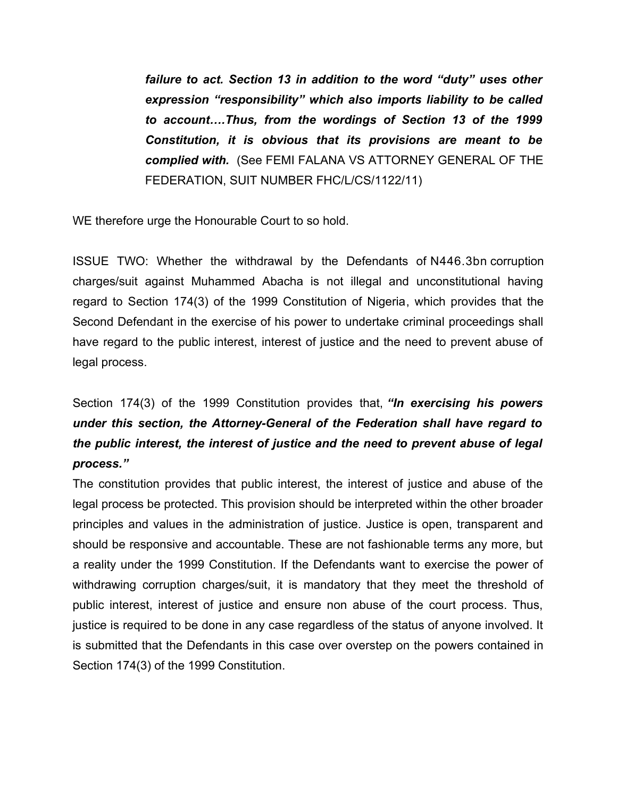*failure to act. Section 13 in addition to the word "duty" uses other expression "responsibility" which also imports liability to be called to account….Thus, from the wordings of Section 13 of the 1999 Constitution, it is obvious that its provisions are meant to be complied with.* (See FEMI FALANA VS ATTORNEY GENERAL OF THE FEDERATION, SUIT NUMBER FHC/L/CS/1122/11)

WE therefore urge the Honourable Court to so hold.

ISSUE TWO: Whether the withdrawal by the Defendants of N446.3bn corruption charges/suit against Muhammed Abacha is not illegal and unconstitutional having regard to Section 174(3) of the 1999 Constitution of Nigeria, which provides that the Second Defendant in the exercise of his power to undertake criminal proceedings shall have regard to the public interest, interest of justice and the need to prevent abuse of legal process.

Section 174(3) of the 1999 Constitution provides that, *"In exercising his powers under this section, the Attorney-General of the Federation shall have regard to the public interest, the interest of justice and the need to prevent abuse of legal process."*

The constitution provides that public interest, the interest of justice and abuse of the legal process be protected. This provision should be interpreted within the other broader principles and values in the administration of justice. Justice is open, transparent and should be responsive and accountable. These are not fashionable terms any more, but a reality under the 1999 Constitution. If the Defendants want to exercise the power of withdrawing corruption charges/suit, it is mandatory that they meet the threshold of public interest, interest of justice and ensure non abuse of the court process. Thus, justice is required to be done in any case regardless of the status of anyone involved. It is submitted that the Defendants in this case over overstep on the powers contained in Section 174(3) of the 1999 Constitution.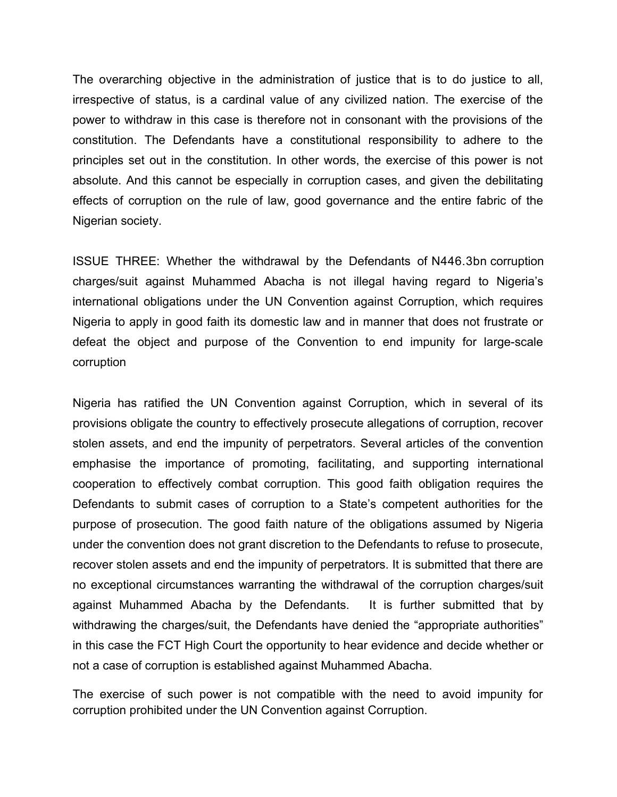The overarching objective in the administration of justice that is to do justice to all, irrespective of status, is a cardinal value of any civilized nation. The exercise of the power to withdraw in this case is therefore not in consonant with the provisions of the constitution. The Defendants have a constitutional responsibility to adhere to the principles set out in the constitution. In other words, the exercise of this power is not absolute. And this cannot be especially in corruption cases, and given the debilitating effects of corruption on the rule of law, good governance and the entire fabric of the Nigerian society.

ISSUE THREE: Whether the withdrawal by the Defendants of N446.3bn corruption charges/suit against Muhammed Abacha is not illegal having regard to Nigeria's international obligations under the UN Convention against Corruption, which requires Nigeria to apply in good faith its domestic law and in manner that does not frustrate or defeat the object and purpose of the Convention to end impunity for large-scale corruption

Nigeria has ratified the UN Convention against Corruption, which in several of its provisions obligate the country to effectively prosecute allegations of corruption, recover stolen assets, and end the impunity of perpetrators. Several articles of the convention emphasise the importance of promoting, facilitating, and supporting international cooperation to effectively combat corruption. This good faith obligation requires the Defendants to submit cases of corruption to a State's competent authorities for the purpose of prosecution. The good faith nature of the obligations assumed by Nigeria under the convention does not grant discretion to the Defendants to refuse to prosecute, recover stolen assets and end the impunity of perpetrators. It is submitted that there are no exceptional circumstances warranting the withdrawal of the corruption charges/suit against Muhammed Abacha by the Defendants. It is further submitted that by withdrawing the charges/suit, the Defendants have denied the "appropriate authorities" in this case the FCT High Court the opportunity to hear evidence and decide whether or not a case of corruption is established against Muhammed Abacha.

The exercise of such power is not compatible with the need to avoid impunity for corruption prohibited under the UN Convention against Corruption.